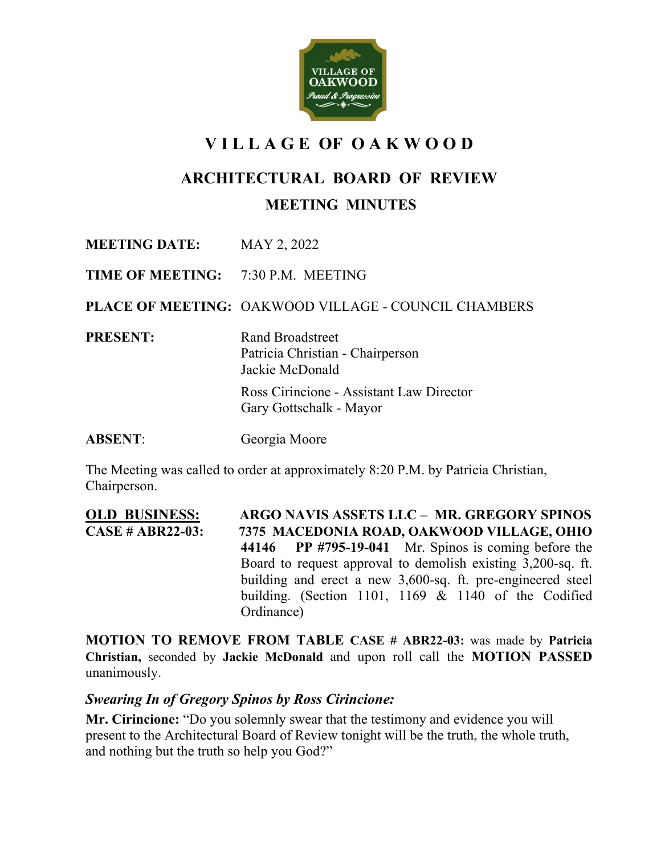

# **V I L L A G E OF O A K W O O D**

# **ARCHITECTURAL BOARD OF REVIEW**

### **MEETING MINUTES**

**MEETING DATE:** MAY 2, 2022

**TIME OF MEETING:** 7:30 P.M. MEETING

**PLACE OF MEETING:** OAKWOOD VILLAGE - COUNCIL CHAMBERS

**PRESENT:** Rand Broadstreet

Patricia Christian - Chairperson Jackie McDonald

Ross Cirincione - Assistant Law Director Gary Gottschalk - Mayor

**ABSENT**: Georgia Moore

The Meeting was called to order at approximately 8:20 P.M. by Patricia Christian, Chairperson.

**OLD BUSINESS:****ARGO NAVIS ASSETS LLC – MR. GREGORY SPINOS CASE # ABR22-03: 7375 MACEDONIA ROAD, OAKWOOD VILLAGE, OHIO 44146 PP #795-19-041** Mr. Spinos is coming before the Board to request approval to demolish existing 3,200-sq. ft. building and erect a new 3,600-sq. ft. pre-engineered steel building. (Section 1101, 1169 & 1140 of the Codified Ordinance)

**MOTION TO REMOVE FROM TABLE CASE # ABR22-03:** was made by **Patricia Christian,** seconded by **Jackie McDonald** and upon roll call the **MOTION PASSED** unanimously.

### *Swearing In of Gregory Spinos by Ross Cirincione:*

**Mr. Cirincione:** "Do you solemnly swear that the testimony and evidence you will present to the Architectural Board of Review tonight will be the truth, the whole truth, and nothing but the truth so help you God?"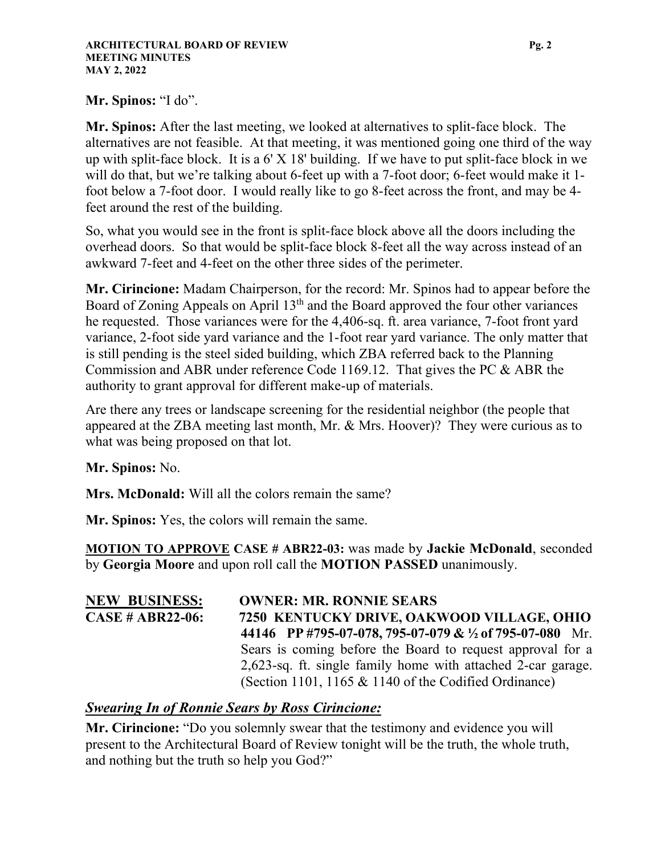#### **Mr. Spinos:** "I do".

**Mr. Spinos:** After the last meeting, we looked at alternatives to split-face block. The alternatives are not feasible. At that meeting, it was mentioned going one third of the way up with split-face block. It is a 6' X 18' building. If we have to put split-face block in we will do that, but we're talking about 6-feet up with a 7-foot door; 6-feet would make it 1foot below a 7-foot door. I would really like to go 8-feet across the front, and may be 4 feet around the rest of the building.

So, what you would see in the front is split-face block above all the doors including the overhead doors. So that would be split-face block 8-feet all the way across instead of an awkward 7-feet and 4-feet on the other three sides of the perimeter.

**Mr. Cirincione:** Madam Chairperson, for the record: Mr. Spinos had to appear before the Board of Zoning Appeals on April 13<sup>th</sup> and the Board approved the four other variances he requested. Those variances were for the 4,406-sq. ft. area variance, 7-foot front yard variance, 2-foot side yard variance and the 1-foot rear yard variance. The only matter that is still pending is the steel sided building, which ZBA referred back to the Planning Commission and ABR under reference Code 1169.12. That gives the PC & ABR the authority to grant approval for different make-up of materials.

Are there any trees or landscape screening for the residential neighbor (the people that appeared at the ZBA meeting last month, Mr. & Mrs. Hoover)? They were curious as to what was being proposed on that lot.

**Mr. Spinos:** No.

**Mrs. McDonald:** Will all the colors remain the same?

**Mr. Spinos:** Yes, the colors will remain the same.

**MOTION TO APPROVE CASE # ABR22-03:** was made by **Jackie McDonald**, seconded by **Georgia Moore** and upon roll call the **MOTION PASSED** unanimously.

| <b>NEW BUSINESS:</b>    | <b>OWNER: MR. RONNIE SEARS</b>                               |
|-------------------------|--------------------------------------------------------------|
| <b>CASE # ABR22-06:</b> | 7250 KENTUCKY DRIVE, OAKWOOD VILLAGE, OHIO                   |
|                         | 44146 PP #795-07-078, 795-07-079 & 1/2 of 795-07-080 Mr.     |
|                         | Sears is coming before the Board to request approval for a   |
|                         | 2,623-sq. ft. single family home with attached 2-car garage. |
|                         | (Section 1101, 1165 $&$ 1140 of the Codified Ordinance)      |

## *Swearing In of Ronnie Sears by Ross Cirincione:*

**Mr. Cirincione:** "Do you solemnly swear that the testimony and evidence you will present to the Architectural Board of Review tonight will be the truth, the whole truth, and nothing but the truth so help you God?"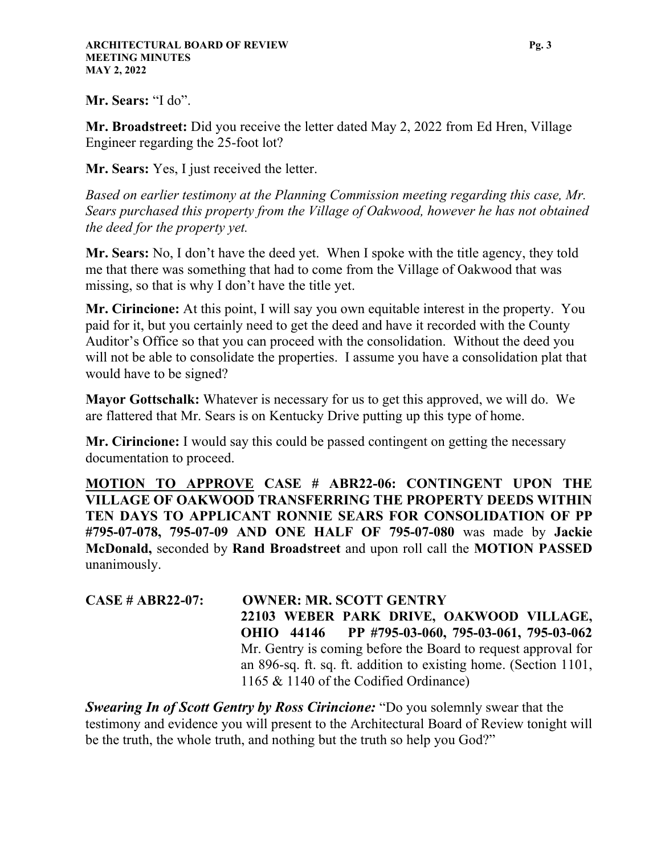#### **Mr. Sears:** "I do".

**Mr. Broadstreet:** Did you receive the letter dated May 2, 2022 from Ed Hren, Village Engineer regarding the 25-foot lot?

**Mr. Sears:** Yes, I just received the letter.

*Based on earlier testimony at the Planning Commission meeting regarding this case, Mr. Sears purchased this property from the Village of Oakwood, however he has not obtained the deed for the property yet.* 

**Mr. Sears:** No, I don't have the deed yet. When I spoke with the title agency, they told me that there was something that had to come from the Village of Oakwood that was missing, so that is why I don't have the title yet.

**Mr. Cirincione:** At this point, I will say you own equitable interest in the property. You paid for it, but you certainly need to get the deed and have it recorded with the County Auditor's Office so that you can proceed with the consolidation. Without the deed you will not be able to consolidate the properties. I assume you have a consolidation plat that would have to be signed?

**Mayor Gottschalk:** Whatever is necessary for us to get this approved, we will do. We are flattered that Mr. Sears is on Kentucky Drive putting up this type of home.

**Mr. Cirincione:** I would say this could be passed contingent on getting the necessary documentation to proceed.

**MOTION TO APPROVE CASE # ABR22-06: CONTINGENT UPON THE VILLAGE OF OAKWOOD TRANSFERRING THE PROPERTY DEEDS WITHIN TEN DAYS TO APPLICANT RONNIE SEARS FOR CONSOLIDATION OF PP #795-07-078, 795-07-09 AND ONE HALF OF 795-07-080** was made by **Jackie McDonald,** seconded by **Rand Broadstreet** and upon roll call the **MOTION PASSED** unanimously.

**CASE # ABR22-07: OWNER: MR. SCOTT GENTRY 22103 WEBER PARK DRIVE, OAKWOOD VILLAGE, OHIO 44146 PP #795-03-060, 795-03-061, 795-03-062**  Mr. Gentry is coming before the Board to request approval for an 896-sq. ft. sq. ft. addition to existing home. (Section 1101, 1165 & 1140 of the Codified Ordinance)

*Swearing In of Scott Gentry by Ross Cirincione:* "Do you solemnly swear that the testimony and evidence you will present to the Architectural Board of Review tonight will be the truth, the whole truth, and nothing but the truth so help you God?"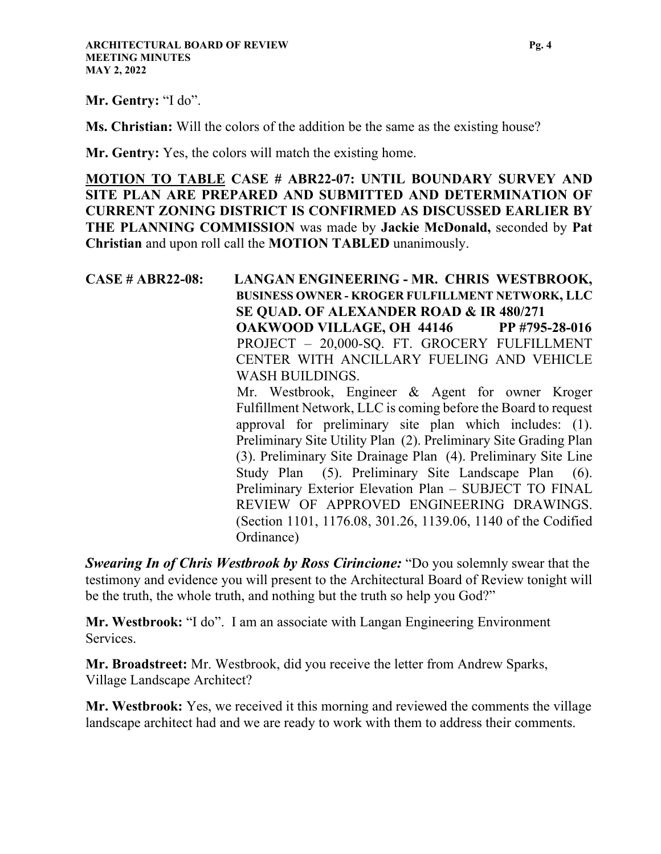**Mr. Gentry:** "I do".

**Ms. Christian:** Will the colors of the addition be the same as the existing house?

**Mr. Gentry:** Yes, the colors will match the existing home.

**MOTION TO TABLE CASE # ABR22-07: UNTIL BOUNDARY SURVEY AND SITE PLAN ARE PREPARED AND SUBMITTED AND DETERMINATION OF CURRENT ZONING DISTRICT IS CONFIRMED AS DISCUSSED EARLIER BY THE PLANNING COMMISSION** was made by **Jackie McDonald,** seconded by **Pat Christian** and upon roll call the **MOTION TABLED** unanimously.

**CASE # ABR22-08: LANGAN ENGINEERING - MR. CHRIS WESTBROOK, BUSINESS OWNER - KROGER FULFILLMENT NETWORK, LLC SE QUAD. OF ALEXANDER ROAD & IR 480/271 OAKWOOD VILLAGE, OH 44146 PP #795-28-016**  PROJECT – 20,000-SQ. FT. GROCERY FULFILLMENT CENTER WITH ANCILLARY FUELING AND VEHICLE WASH BUILDINGS. Mr. Westbrook, Engineer & Agent for owner Kroger Fulfillment Network, LLC is coming before the Board to request approval for preliminary site plan which includes: (1). Preliminary Site Utility Plan (2). Preliminary Site Grading Plan (3). Preliminary Site Drainage Plan (4). Preliminary Site Line Study Plan (5). Preliminary Site Landscape Plan (6). Preliminary Exterior Elevation Plan – SUBJECT TO FINAL REVIEW OF APPROVED ENGINEERING DRAWINGS. (Section 1101, 1176.08, 301.26, 1139.06, 1140 of the Codified Ordinance)

*Swearing In of Chris Westbrook by Ross Cirincione:* "Do you solemnly swear that the testimony and evidence you will present to the Architectural Board of Review tonight will be the truth, the whole truth, and nothing but the truth so help you God?"

**Mr. Westbrook:** "I do". I am an associate with Langan Engineering Environment Services.

**Mr. Broadstreet:** Mr. Westbrook, did you receive the letter from Andrew Sparks, Village Landscape Architect?

**Mr. Westbrook:** Yes, we received it this morning and reviewed the comments the village landscape architect had and we are ready to work with them to address their comments.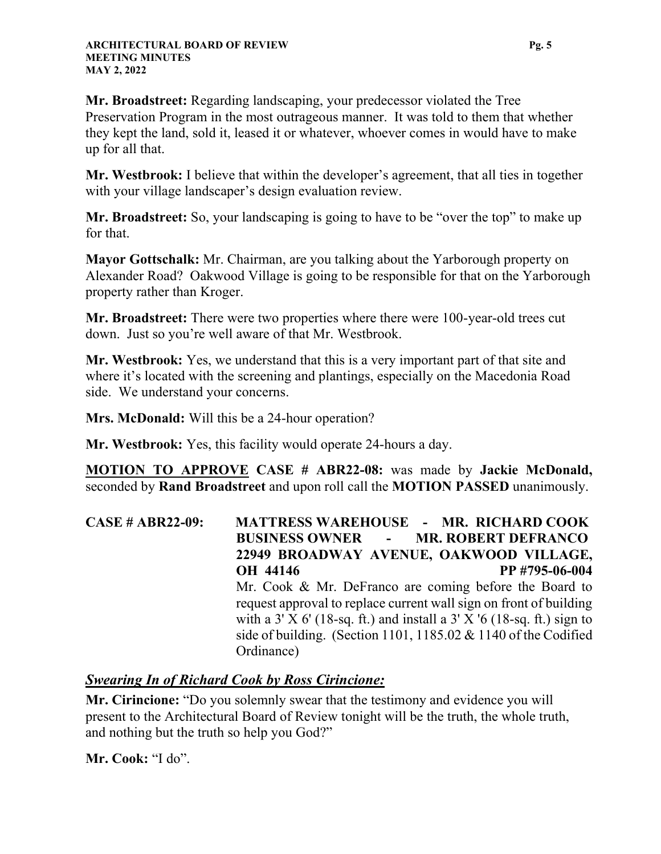**Mr. Broadstreet:** Regarding landscaping, your predecessor violated the Tree Preservation Program in the most outrageous manner. It was told to them that whether they kept the land, sold it, leased it or whatever, whoever comes in would have to make up for all that.

**Mr. Westbrook:** I believe that within the developer's agreement, that all ties in together with your village landscaper's design evaluation review.

**Mr. Broadstreet:** So, your landscaping is going to have to be "over the top" to make up for that.

**Mayor Gottschalk:** Mr. Chairman, are you talking about the Yarborough property on Alexander Road? Oakwood Village is going to be responsible for that on the Yarborough property rather than Kroger.

**Mr. Broadstreet:** There were two properties where there were 100-year-old trees cut down. Just so you're well aware of that Mr. Westbrook.

**Mr. Westbrook:** Yes, we understand that this is a very important part of that site and where it's located with the screening and plantings, especially on the Macedonia Road side. We understand your concerns.

**Mrs. McDonald:** Will this be a 24-hour operation?

**Mr. Westbrook:** Yes, this facility would operate 24-hours a day.

**MOTION TO APPROVE CASE # ABR22-08:** was made by **Jackie McDonald,** seconded by **Rand Broadstreet** and upon roll call the **MOTION PASSED** unanimously.

**CASE # ABR22-09: MATTRESS WAREHOUSE - MR. RICHARD COOK BUSINESS OWNER - MR. ROBERT DEFRANCO 22949 BROADWAY AVENUE, OAKWOOD VILLAGE, OH 44146 PP #795-06-004**  Mr. Cook & Mr. DeFranco are coming before the Board to request approval to replace current wall sign on front of building with a  $3' X 6'$  (18-sq. ft.) and install a  $3' X 6'$  (18-sq. ft.) sign to side of building. (Section 1101, 1185.02 & 1140 of the Codified Ordinance)

### *Swearing In of Richard Cook by Ross Cirincione:*

**Mr. Cirincione:** "Do you solemnly swear that the testimony and evidence you will present to the Architectural Board of Review tonight will be the truth, the whole truth, and nothing but the truth so help you God?"

**Mr. Cook:** "I do".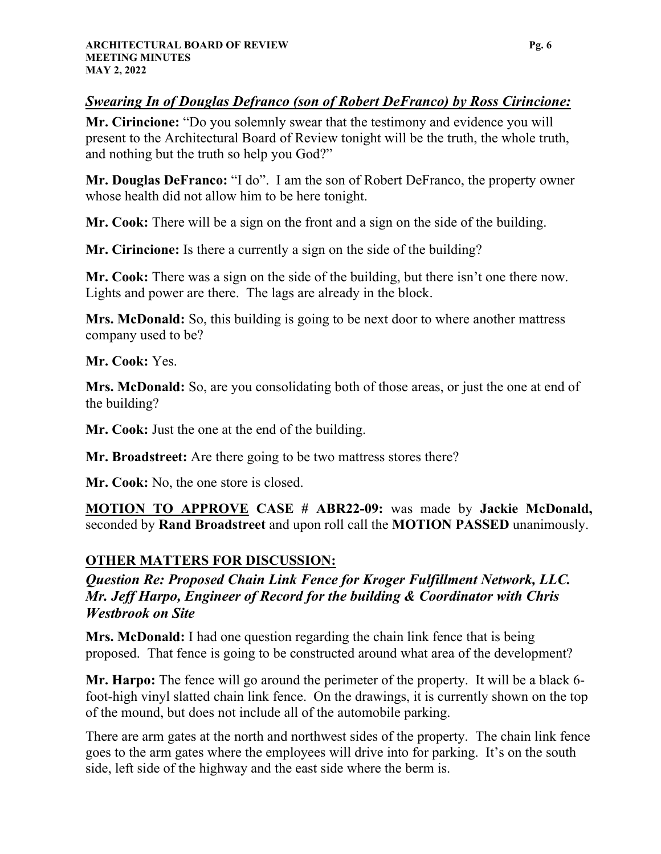## *Swearing In of Douglas Defranco (son of Robert DeFranco) by Ross Cirincione:*

**Mr. Cirincione:** "Do you solemnly swear that the testimony and evidence you will present to the Architectural Board of Review tonight will be the truth, the whole truth, and nothing but the truth so help you God?"

**Mr. Douglas DeFranco:** "I do". I am the son of Robert DeFranco, the property owner whose health did not allow him to be here tonight.

**Mr. Cook:** There will be a sign on the front and a sign on the side of the building.

**Mr. Cirincione:** Is there a currently a sign on the side of the building?

**Mr. Cook:** There was a sign on the side of the building, but there isn't one there now. Lights and power are there. The lags are already in the block.

**Mrs. McDonald:** So, this building is going to be next door to where another mattress company used to be?

**Mr. Cook:** Yes.

**Mrs. McDonald:** So, are you consolidating both of those areas, or just the one at end of the building?

**Mr. Cook:** Just the one at the end of the building.

**Mr. Broadstreet:** Are there going to be two mattress stores there?

**Mr. Cook:** No, the one store is closed.

**MOTION TO APPROVE CASE # ABR22-09:** was made by **Jackie McDonald,** seconded by **Rand Broadstreet** and upon roll call the **MOTION PASSED** unanimously.

## **OTHER MATTERS FOR DISCUSSION:**

*Question Re: Proposed Chain Link Fence for Kroger Fulfillment Network, LLC. Mr. Jeff Harpo, Engineer of Record for the building & Coordinator with Chris Westbrook on Site*

**Mrs. McDonald:** I had one question regarding the chain link fence that is being proposed. That fence is going to be constructed around what area of the development?

**Mr. Harpo:** The fence will go around the perimeter of the property. It will be a black 6 foot-high vinyl slatted chain link fence. On the drawings, it is currently shown on the top of the mound, but does not include all of the automobile parking.

There are arm gates at the north and northwest sides of the property. The chain link fence goes to the arm gates where the employees will drive into for parking. It's on the south side, left side of the highway and the east side where the berm is.